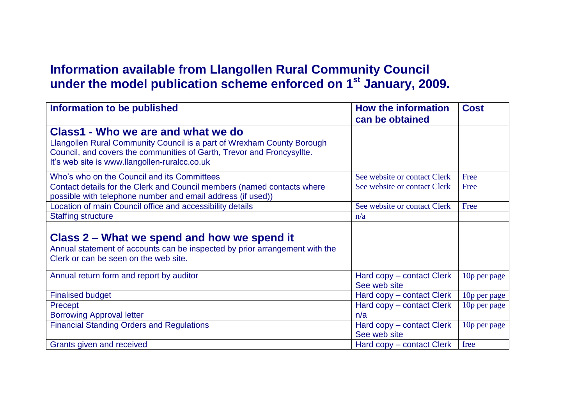## **Information available from Llangollen Rural Community Council under the model publication scheme enforced on 1st January, 2009.**

| Information to be published                                                                                                                                                                                                             | <b>How the information</b><br>can be obtained | <b>Cost</b>              |
|-----------------------------------------------------------------------------------------------------------------------------------------------------------------------------------------------------------------------------------------|-----------------------------------------------|--------------------------|
| Class1 - Who we are and what we do<br>Llangollen Rural Community Council is a part of Wrexham County Borough<br>Council, and covers the communities of Garth, Trevor and Froncysyllte.<br>It's web site is www.llangollen-ruralcc.co.uk |                                               |                          |
| Who's who on the Council and its Committees                                                                                                                                                                                             | See website or contact Clerk                  | Free                     |
| Contact details for the Clerk and Council members (named contacts where<br>possible with telephone number and email address (if used))                                                                                                  | See website or contact Clerk                  | Free                     |
| Location of main Council office and accessibility details                                                                                                                                                                               | See website or contact Clerk                  | Free                     |
| <b>Staffing structure</b>                                                                                                                                                                                                               | n/a                                           |                          |
|                                                                                                                                                                                                                                         |                                               |                          |
| Class 2 – What we spend and how we spend it<br>Annual statement of accounts can be inspected by prior arrangement with the<br>Clerk or can be seen on the web site.                                                                     |                                               |                          |
| Annual return form and report by auditor                                                                                                                                                                                                | Hard copy – contact Clerk<br>See web site     | 10p per page             |
| <b>Finalised budget</b>                                                                                                                                                                                                                 | Hard copy – contact Clerk                     | 10p per page             |
| Precept                                                                                                                                                                                                                                 | Hard copy – contact Clerk                     | 10 <sub>p</sub> per page |
| <b>Borrowing Approval letter</b>                                                                                                                                                                                                        | n/a                                           |                          |
| <b>Financial Standing Orders and Regulations</b>                                                                                                                                                                                        | Hard copy - contact Clerk<br>See web site     | 10p per page             |
| Grants given and received                                                                                                                                                                                                               | Hard copy – contact Clerk                     | free                     |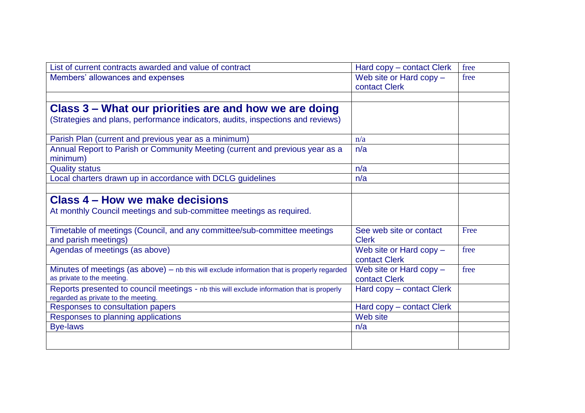| List of current contracts awarded and value of contract                                       | Hard copy – contact Clerk | free |
|-----------------------------------------------------------------------------------------------|---------------------------|------|
| Members' allowances and expenses                                                              | Web site or Hard copy -   | free |
|                                                                                               | contact Clerk             |      |
|                                                                                               |                           |      |
| Class 3 – What our priorities are and how we are doing                                        |                           |      |
| (Strategies and plans, performance indicators, audits, inspections and reviews)               |                           |      |
|                                                                                               |                           |      |
| Parish Plan (current and previous year as a minimum)                                          | n/a                       |      |
| Annual Report to Parish or Community Meeting (current and previous year as a                  | n/a                       |      |
| minimum)                                                                                      |                           |      |
| <b>Quality status</b>                                                                         | n/a                       |      |
| Local charters drawn up in accordance with DCLG guidelines                                    | n/a                       |      |
|                                                                                               |                           |      |
| Class 4 – How we make decisions                                                               |                           |      |
| At monthly Council meetings and sub-committee meetings as required.                           |                           |      |
|                                                                                               |                           |      |
| Timetable of meetings (Council, and any committee/sub-committee meetings                      | See web site or contact   | Free |
| and parish meetings)                                                                          | <b>Clerk</b>              |      |
| Agendas of meetings (as above)                                                                | Web site or Hard copy $-$ | free |
|                                                                                               | contact Clerk             |      |
| Minutes of meetings (as above) $-$ nb this will exclude information that is properly regarded | Web site or Hard copy -   | free |
| as private to the meeting.                                                                    | contact Clerk             |      |
| Reports presented to council meetings - nb this will exclude information that is properly     | Hard copy – contact Clerk |      |
| regarded as private to the meeting.                                                           |                           |      |
| Responses to consultation papers                                                              | Hard copy – contact Clerk |      |
| Responses to planning applications                                                            | Web site                  |      |
| <b>Bye-laws</b>                                                                               | n/a                       |      |
|                                                                                               |                           |      |
|                                                                                               |                           |      |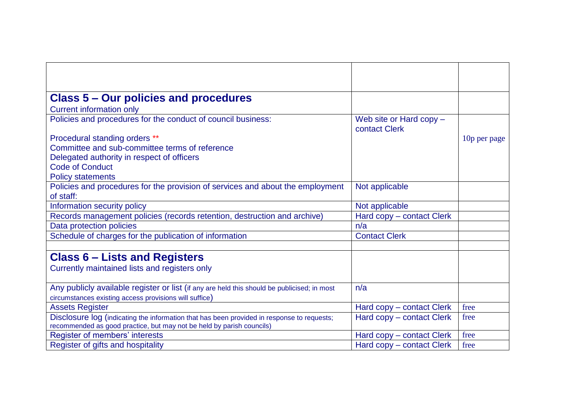| <b>Class 5 – Our policies and procedures</b>                                                |                                            |              |
|---------------------------------------------------------------------------------------------|--------------------------------------------|--------------|
| <b>Current information only</b>                                                             |                                            |              |
| Policies and procedures for the conduct of council business:                                | Web site or Hard copy $-$<br>contact Clerk |              |
| Procedural standing orders **                                                               |                                            | 10p per page |
| Committee and sub-committee terms of reference                                              |                                            |              |
| Delegated authority in respect of officers                                                  |                                            |              |
| <b>Code of Conduct</b>                                                                      |                                            |              |
| <b>Policy statements</b>                                                                    |                                            |              |
| Policies and procedures for the provision of services and about the employment              | Not applicable                             |              |
| of staff:                                                                                   |                                            |              |
| Information security policy                                                                 | Not applicable                             |              |
| Records management policies (records retention, destruction and archive)                    | Hard copy - contact Clerk                  |              |
| Data protection policies                                                                    | n/a                                        |              |
| Schedule of charges for the publication of information                                      | <b>Contact Clerk</b>                       |              |
|                                                                                             |                                            |              |
| <b>Class 6 – Lists and Registers</b>                                                        |                                            |              |
| Currently maintained lists and registers only                                               |                                            |              |
|                                                                                             |                                            |              |
| Any publicly available register or list (if any are held this should be publicised; in most | n/a                                        |              |
| circumstances existing access provisions will suffice)                                      |                                            |              |
| <b>Assets Register</b>                                                                      | Hard copy - contact Clerk                  | free         |
| Disclosure log (indicating the information that has been provided in response to requests;  | Hard copy – contact Clerk                  | free         |
| recommended as good practice, but may not be held by parish councils)                       |                                            |              |
| Register of members' interests                                                              | Hard copy – contact Clerk                  | free         |
| Register of gifts and hospitality                                                           | Hard copy – contact Clerk                  | free         |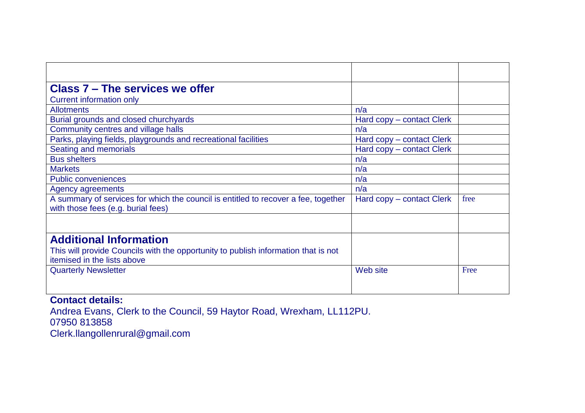| Class 7 – The services we offer                                                                                          |                           |      |
|--------------------------------------------------------------------------------------------------------------------------|---------------------------|------|
| <b>Current information only</b>                                                                                          |                           |      |
| <b>Allotments</b>                                                                                                        | n/a                       |      |
| Burial grounds and closed churchyards                                                                                    | Hard copy – contact Clerk |      |
| Community centres and village halls                                                                                      | n/a                       |      |
| Parks, playing fields, playgrounds and recreational facilities                                                           | Hard copy – contact Clerk |      |
| Seating and memorials                                                                                                    | Hard copy – contact Clerk |      |
| <b>Bus shelters</b>                                                                                                      | n/a                       |      |
| <b>Markets</b>                                                                                                           | n/a                       |      |
| <b>Public conveniences</b>                                                                                               | n/a                       |      |
| Agency agreements                                                                                                        | n/a                       |      |
| A summary of services for which the council is entitled to recover a fee, together<br>with those fees (e.g. burial fees) | Hard copy – contact Clerk | free |
|                                                                                                                          |                           |      |
| <b>Additional Information</b>                                                                                            |                           |      |
| This will provide Councils with the opportunity to publish information that is not                                       |                           |      |
| itemised in the lists above                                                                                              |                           |      |
| <b>Quarterly Newsletter</b>                                                                                              | Web site                  | Free |
|                                                                                                                          |                           |      |
|                                                                                                                          |                           |      |

## **Contact details:**

Andrea Evans, Clerk to the Council, 59 Haytor Road, Wrexham, LL112PU. 07950 813858 Clerk.llangollenrural@gmail.com